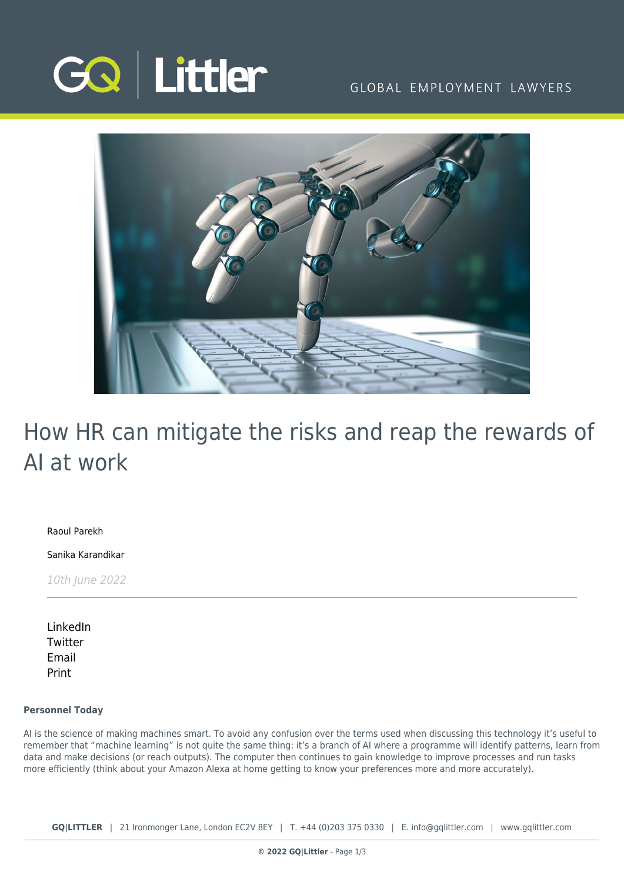

### GLOBAL EMPLOYMENT LAWYERS



# How HR can mitigate the risks and reap the rewards of AI at work

[Raoul Parekh](https://www.gqlittler.com/about-us/the-team/raoul-parekh)

[Sanika Karandikar](https://www.gqlittler.com/about-us/the-team/sanika-karandikar)

10th June 2022

[LinkedIn](https://www.linkedin.com/shareArticle?mini=true&url=https%3A%2F%2Fwww.gqlittler.com%2Fresources%2Fnews-and-views%2Fhow-hr-can-mitigate-the-risks-and-reap-the-rewards-of-ai-at-work.htm%3Funlock%3Dtrue&title=How+HR+can+mitigate+the+risks+and+reap+the+rewards+of+AI+at+work&summary=&source=GQ+%7C+Littler) **[Twitter](https://twitter.com/share?text=How+HR+can+mitigate+the+risks+and+reap+the+rewards+of+AI+at+work&url=https%3A%2F%2Fwww.gqlittler.com%2Fresources%2Fnews-and-views%2Fhow-hr-can-mitigate-the-risks-and-reap-the-rewards-of-ai-at-work.htm&hashtags=)** [Email](mailto:?subject=How HR can mitigate the risks and reap the rewards of AI at work&body=I) [Print](https://www.bg-pdf.co.uk/_GQ/page.php?M=6148523063484d364c793933643363755a33467361585230624756794c6d4e76625339795a584e7664584a6a5a584d76626d563363793168626d5174646d6c6c64334d76614739334c5768794c574e6862693174615852705a3246305a53313061475574636d6c7a61334d745957356b4c584a6c595841746447686c4c584a6c643246795a484d746232597459576b7459585174643239796179356f6447306a51434e496233636753464967593246754947317064476c6e5958526c4948526f5a53427961584e7263794268626d5167636d56686343423061475567636d563359584a6b637942765a694242535342686443423362334a724930416a614739334c5768794c574e6862693174615852705a3246305a53313061475574636d6c7a61334d745957356b4c584a6c595841746447686c4c584a6c643246795a484d746232597459576b74595851746432397961773d3d)

#### **Personnel Today**

AI is the science of making machines smart. To avoid any confusion over the terms used when discussing this technology it's useful to remember that "machine learning" is not quite the same thing: it's a branch of AI where a programme will identify patterns, learn from data and make decisions (or reach outputs). The computer then continues to gain knowledge to improve processes and run tasks more efficiently (think about your Amazon Alexa at home getting to know your preferences more and more accurately).

**GQ|LITTLER** | 21 Ironmonger Lane, London EC2V 8EY | T. [+44 \(0\)203 375 0330](https://www.bg-pdf.co.uk/_GQ/tel:+442033750330) | E. [info@gqlittler.com](mailto:info@gqlittler.com) | [www.gqlittler.com](https://www.gqlittler.com)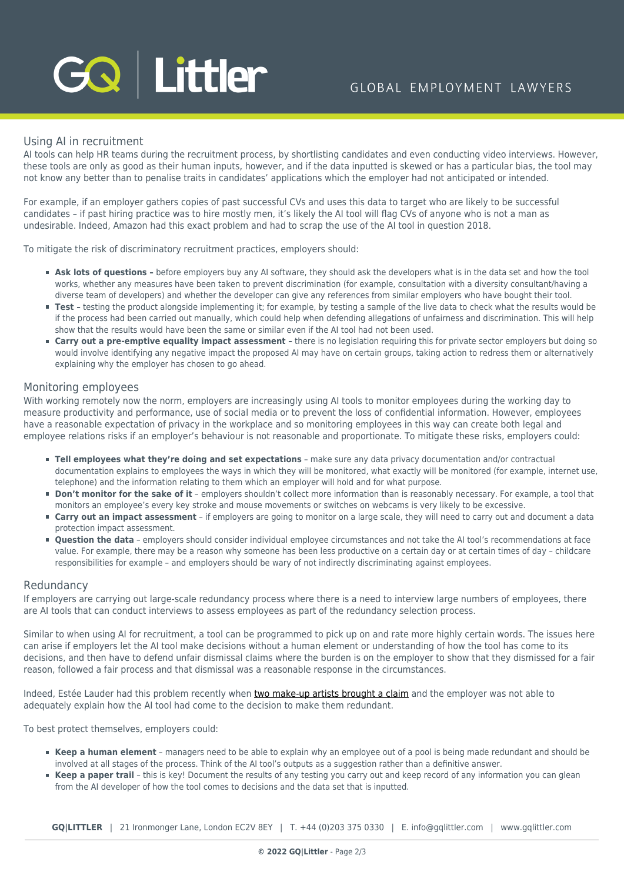# GQ Littler

#### Using AI in recruitment

AI tools can help HR teams during the recruitment process, by shortlisting candidates and even conducting video interviews. However, these tools are only as good as their human inputs, however, and if the data inputted is skewed or has a particular bias, the tool may not know any better than to penalise traits in candidates' applications which the employer had not anticipated or intended.

For example, if an employer gathers copies of past successful CVs and uses this data to target who are likely to be successful candidates – if past hiring practice was to hire mostly men, it's likely the AI tool will flag CVs of anyone who is not a man as undesirable. Indeed, Amazon had this exact problem and had to scrap the use of the AI tool in question 2018.

To mitigate the risk of discriminatory recruitment practices, employers should:

- **Ask lots of questions** before employers buy any AI software, they should ask the developers what is in the data set and how the tool works, whether any measures have been taken to prevent discrimination (for example, consultation with a diversity consultant/having a diverse team of developers) and whether the developer can give any references from similar employers who have bought their tool.
- Test testing the product alongside implementing it; for example, by testing a sample of the live data to check what the results would be if the process had been carried out manually, which could help when defending allegations of unfairness and discrimination. This will help show that the results would have been the same or similar even if the AI tool had not been used.
- **Carry out a pre-emptive equality impact assessment -** there is no legislation requiring this for private sector employers but doing so would involve identifying any negative impact the proposed AI may have on certain groups, taking action to redress them or alternatively explaining why the employer has chosen to go ahead.

#### Monitoring employees

With working remotely now the norm, employers are increasingly using AI tools to monitor employees during the working day to measure productivity and performance, use of social media or to prevent the loss of confidential information. However, employees have a reasonable expectation of privacy in the workplace and so monitoring employees in this way can create both legal and employee relations risks if an employer's behaviour is not reasonable and proportionate. To mitigate these risks, employers could:

- **Tell employees what they're doing and set expectations** make sure any data privacy documentation and/or contractual documentation explains to employees the ways in which they will be monitored, what exactly will be monitored (for example, internet use, telephone) and the information relating to them which an employer will hold and for what purpose.
- **Don't monitor for the sake of it** employers shouldn't collect more information than is reasonably necessary. For example, a tool that monitors an employee's every key stroke and mouse movements or switches on webcams is very likely to be excessive.
- **Carry out an impact assessment** if employers are going to monitor on a large scale, they will need to carry out and document a data protection impact assessment.
- **Question the data** employers should consider individual employee circumstances and not take the AI tool's recommendations at face value. For example, there may be a reason why someone has been less productive on a certain day or at certain times of day – childcare responsibilities for example – and employers should be wary of not indirectly discriminating against employees.

#### Redundancy

If employers are carrying out large-scale redundancy process where there is a need to interview large numbers of employees, there are AI tools that can conduct interviews to assess employees as part of the redundancy selection process.

Similar to when using AI for recruitment, a tool can be programmed to pick up on and rate more highly certain words. The issues here can arise if employers let the AI tool make decisions without a human element or understanding of how the tool has come to its decisions, and then have to defend unfair dismissal claims where the burden is on the employer to show that they dismissed for a fair reason, followed a fair process and that dismissal was a reasonable response in the circumstances.

Indeed, Estée Lauder had this problem recently when [two make-up artists brought a claim](https://www.personneltoday.com/hr/estee-lauder-women-sacked-by-algorithm-redundancy-software-hirevue-automation/) and the employer was not able to adequately explain how the AI tool had come to the decision to make them redundant.

To best protect themselves, employers could:

- **Keep a human element** managers need to be able to explain why an employee out of a pool is being made redundant and should be involved at all stages of the process. Think of the AI tool's outputs as a suggestion rather than a definitive answer.
- **Keep a paper trail** this is key! Document the results of any testing you carry out and keep record of any information you can glean from the AI developer of how the tool comes to decisions and the data set that is inputted.

**GQ|LITTLER** | 21 Ironmonger Lane, London EC2V 8EY | T. [+44 \(0\)203 375 0330](https://www.bg-pdf.co.uk/_GQ/tel:+442033750330) | E. [info@gqlittler.com](mailto:info@gqlittler.com) | [www.gqlittler.com](https://www.gqlittler.com)